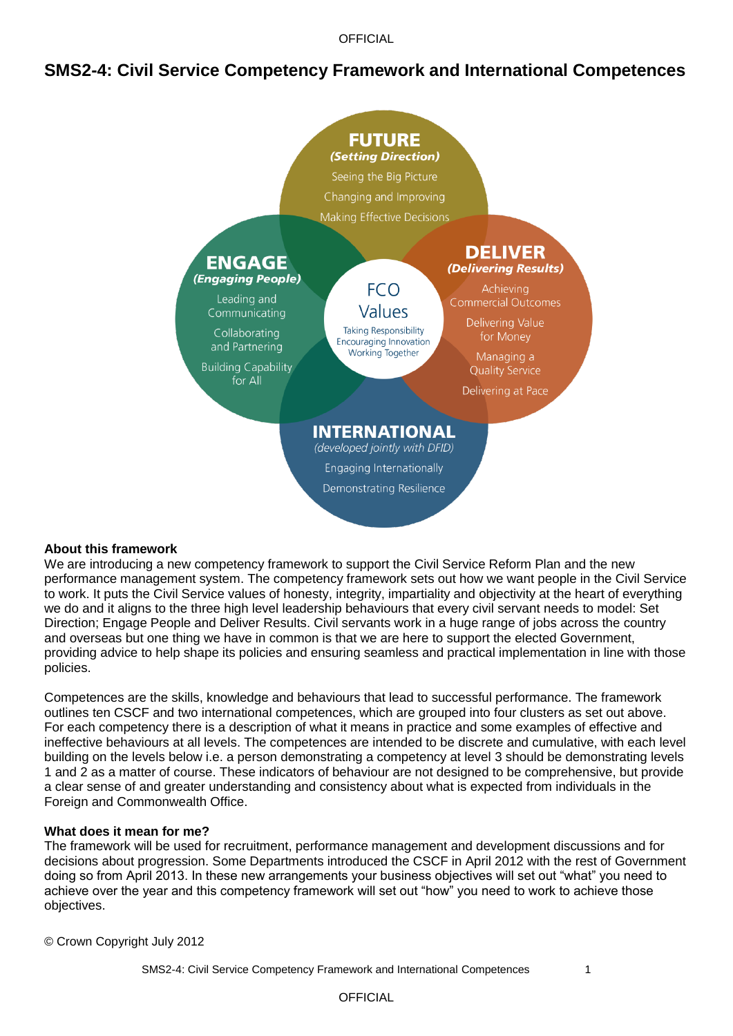**OFFICIAL** 

# **SMS2-4: Civil Service Competency Framework and International Competences**



#### **About this framework**

We are introducing a new competency framework to support the Civil Service Reform Plan and the new performance management system. The competency framework sets out how we want people in the Civil Service to work. It puts the Civil Service values of honesty, integrity, impartiality and objectivity at the heart of everything we do and it aligns to the three high level leadership behaviours that every civil servant needs to model: Set Direction; Engage People and Deliver Results. Civil servants work in a huge range of jobs across the country and overseas but one thing we have in common is that we are here to support the elected Government, providing advice to help shape its policies and ensuring seamless and practical implementation in line with those policies.

Competences are the skills, knowledge and behaviours that lead to successful performance. The framework outlines ten CSCF and two international competences, which are grouped into four clusters as set out above. For each competency there is a description of what it means in practice and some examples of effective and ineffective behaviours at all levels. The competences are intended to be discrete and cumulative, with each level building on the levels below i.e. a person demonstrating a competency at level 3 should be demonstrating levels 1 and 2 as a matter of course. These indicators of behaviour are not designed to be comprehensive, but provide a clear sense of and greater understanding and consistency about what is expected from individuals in the Foreign and Commonwealth Office.

#### **What does it mean for me?**

The framework will be used for recruitment, performance management and development discussions and for decisions about progression. Some Departments introduced the CSCF in April 2012 with the rest of Government doing so from April 2013. In these new arrangements your business objectives will set out "what" you need to achieve over the year and this competency framework will set out "how" you need to work to achieve those objectives.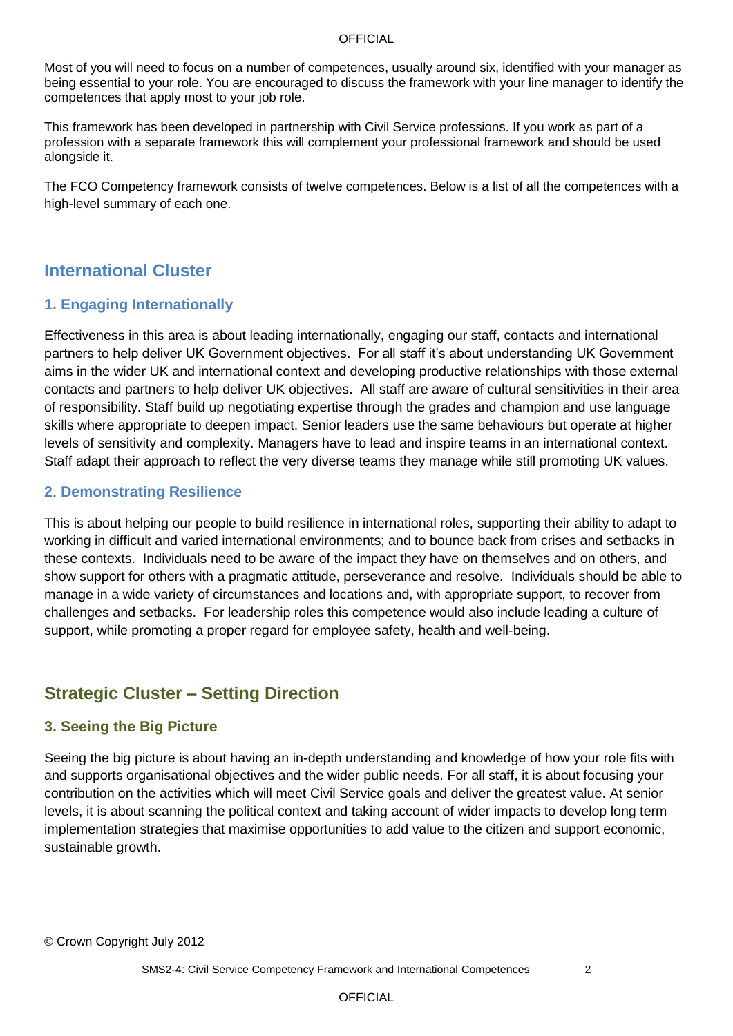#### **OFFICIAL**

Most of you will need to focus on a number of competences, usually around six, identified with your manager as being essential to your role. You are encouraged to discuss the framework with your line manager to identify the competences that apply most to your job role.

This framework has been developed in partnership with Civil Service professions. If you work as part of a profession with a separate framework this will complement your professional framework and should be used alongside it.

The FCO Competency framework consists of twelve competences. Below is a list of all the competences with a high-level summary of each one.

# **International Cluster**

# **1. Engaging Internationally**

Effectiveness in this area is about leading internationally, engaging our staff, contacts and international partners to help deliver UK Government objectives. For all staff it"s about understanding UK Government aims in the wider UK and international context and developing productive relationships with those external contacts and partners to help deliver UK objectives. All staff are aware of cultural sensitivities in their area of responsibility. Staff build up negotiating expertise through the grades and champion and use language skills where appropriate to deepen impact. Senior leaders use the same behaviours but operate at higher levels of sensitivity and complexity. Managers have to lead and inspire teams in an international context. Staff adapt their approach to reflect the very diverse teams they manage while still promoting UK values.

### **2. Demonstrating Resilience**

This is about helping our people to build resilience in international roles, supporting their ability to adapt to working in difficult and varied international environments; and to bounce back from crises and setbacks in these contexts. Individuals need to be aware of the impact they have on themselves and on others, and show support for others with a pragmatic attitude, perseverance and resolve. Individuals should be able to manage in a wide variety of circumstances and locations and, with appropriate support, to recover from challenges and setbacks. For leadership roles this competence would also include leading a culture of support, while promoting a proper regard for employee safety, health and well-being.

# **Strategic Cluster – Setting Direction**

## **3. Seeing the Big Picture**

Seeing the big picture is about having an in-depth understanding and knowledge of how your role fits with and supports organisational objectives and the wider public needs. For all staff, it is about focusing your contribution on the activities which will meet Civil Service goals and deliver the greatest value. At senior levels, it is about scanning the political context and taking account of wider impacts to develop long term implementation strategies that maximise opportunities to add value to the citizen and support economic, sustainable growth.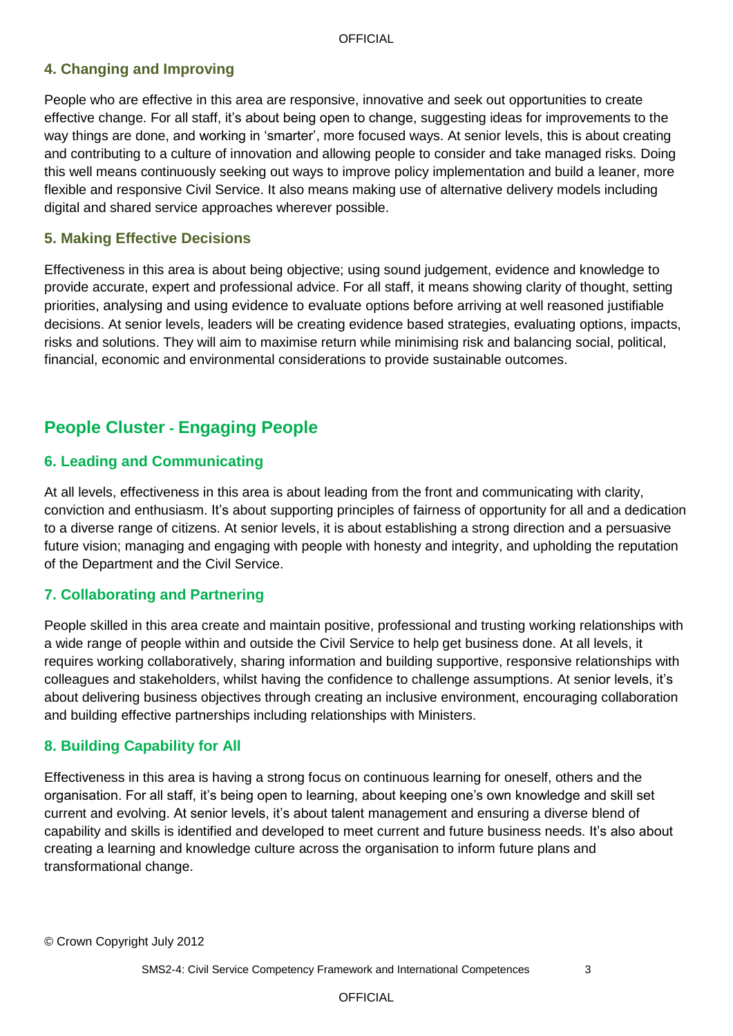# **4. Changing and Improving**

People who are effective in this area are responsive, innovative and seek out opportunities to create effective change. For all staff, it's about being open to change, suggesting ideas for improvements to the way things are done, and working in "smarter", more focused ways. At senior levels, this is about creating and contributing to a culture of innovation and allowing people to consider and take managed risks. Doing this well means continuously seeking out ways to improve policy implementation and build a leaner, more flexible and responsive Civil Service. It also means making use of alternative delivery models including digital and shared service approaches wherever possible.

### **5. Making Effective Decisions**

Effectiveness in this area is about being objective; using sound judgement, evidence and knowledge to provide accurate, expert and professional advice. For all staff, it means showing clarity of thought, setting priorities, analysing and using evidence to evaluate options before arriving at well reasoned justifiable decisions. At senior levels, leaders will be creating evidence based strategies, evaluating options, impacts, risks and solutions. They will aim to maximise return while minimising risk and balancing social, political, financial, economic and environmental considerations to provide sustainable outcomes.

# **People Cluster - Engaging People**

## **6. Leading and Communicating**

At all levels, effectiveness in this area is about leading from the front and communicating with clarity, conviction and enthusiasm. It"s about supporting principles of fairness of opportunity for all and a dedication to a diverse range of citizens. At senior levels, it is about establishing a strong direction and a persuasive future vision; managing and engaging with people with honesty and integrity, and upholding the reputation of the Department and the Civil Service.

## **7. Collaborating and Partnering**

People skilled in this area create and maintain positive, professional and trusting working relationships with a wide range of people within and outside the Civil Service to help get business done. At all levels, it requires working collaboratively, sharing information and building supportive, responsive relationships with colleagues and stakeholders, whilst having the confidence to challenge assumptions. At senior levels, it"s about delivering business objectives through creating an inclusive environment, encouraging collaboration and building effective partnerships including relationships with Ministers.

#### **8. Building Capability for All**

Effectiveness in this area is having a strong focus on continuous learning for oneself, others and the organisation. For all staff, it"s being open to learning, about keeping one"s own knowledge and skill set current and evolving. At senior levels, it's about talent management and ensuring a diverse blend of capability and skills is identified and developed to meet current and future business needs. It"s also about creating a learning and knowledge culture across the organisation to inform future plans and transformational change.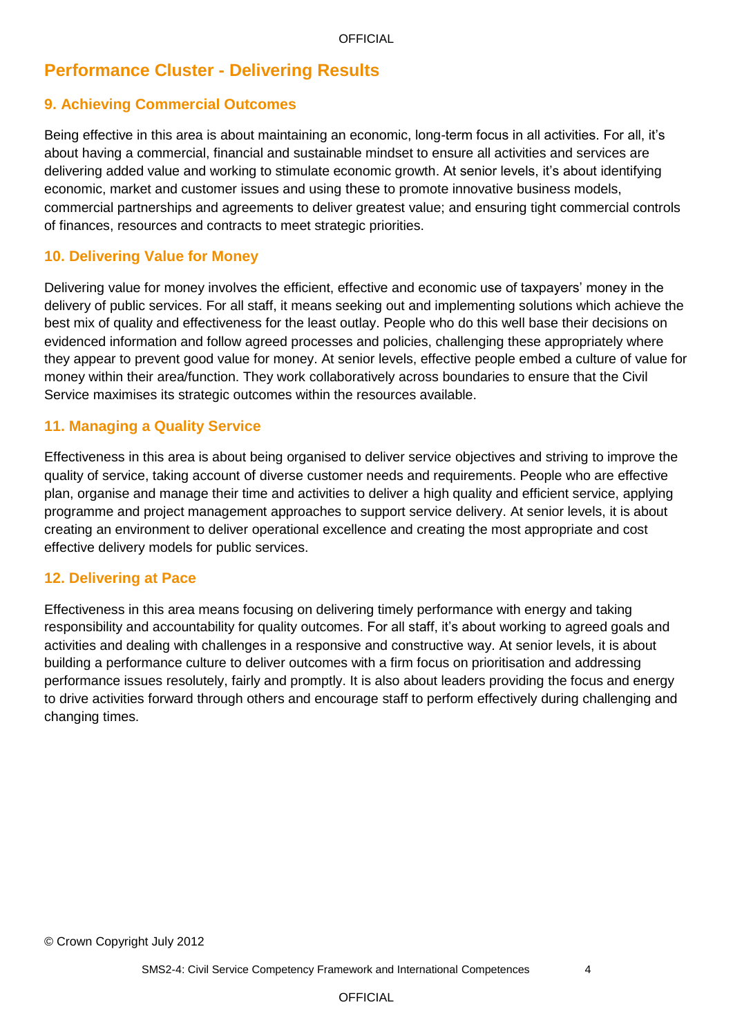# **Performance Cluster - Delivering Results**

# **9. Achieving Commercial Outcomes**

Being effective in this area is about maintaining an economic, long-term focus in all activities. For all, it"s about having a commercial, financial and sustainable mindset to ensure all activities and services are delivering added value and working to stimulate economic growth. At senior levels, it"s about identifying economic, market and customer issues and using these to promote innovative business models, commercial partnerships and agreements to deliver greatest value; and ensuring tight commercial controls of finances, resources and contracts to meet strategic priorities.

### **10. Delivering Value for Money**

Delivering value for money involves the efficient, effective and economic use of taxpayers" money in the delivery of public services. For all staff, it means seeking out and implementing solutions which achieve the best mix of quality and effectiveness for the least outlay. People who do this well base their decisions on evidenced information and follow agreed processes and policies, challenging these appropriately where they appear to prevent good value for money. At senior levels, effective people embed a culture of value for money within their area/function. They work collaboratively across boundaries to ensure that the Civil Service maximises its strategic outcomes within the resources available.

### **11. Managing a Quality Service**

Effectiveness in this area is about being organised to deliver service objectives and striving to improve the quality of service, taking account of diverse customer needs and requirements. People who are effective plan, organise and manage their time and activities to deliver a high quality and efficient service, applying programme and project management approaches to support service delivery. At senior levels, it is about creating an environment to deliver operational excellence and creating the most appropriate and cost effective delivery models for public services.

#### **12. Delivering at Pace**

Effectiveness in this area means focusing on delivering timely performance with energy and taking responsibility and accountability for quality outcomes. For all staff, it"s about working to agreed goals and activities and dealing with challenges in a responsive and constructive way. At senior levels, it is about building a performance culture to deliver outcomes with a firm focus on prioritisation and addressing performance issues resolutely, fairly and promptly. It is also about leaders providing the focus and energy to drive activities forward through others and encourage staff to perform effectively during challenging and changing times.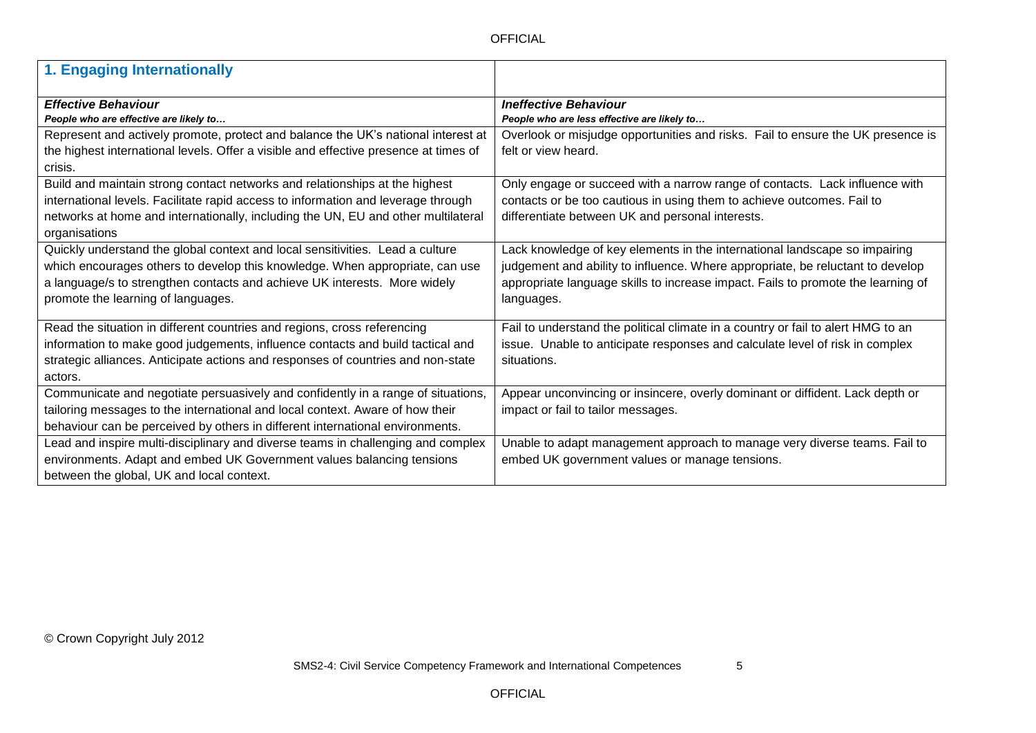| 1. Engaging Internationally                                                          |                                                                                  |
|--------------------------------------------------------------------------------------|----------------------------------------------------------------------------------|
|                                                                                      |                                                                                  |
| <b>Effective Behaviour</b>                                                           | <b>Ineffective Behaviour</b>                                                     |
| People who are effective are likely to                                               | People who are less effective are likely to                                      |
| Represent and actively promote, protect and balance the UK's national interest at    | Overlook or misjudge opportunities and risks. Fail to ensure the UK presence is  |
| the highest international levels. Offer a visible and effective presence at times of | felt or view heard.                                                              |
| crisis.                                                                              |                                                                                  |
| Build and maintain strong contact networks and relationships at the highest          | Only engage or succeed with a narrow range of contacts. Lack influence with      |
| international levels. Facilitate rapid access to information and leverage through    | contacts or be too cautious in using them to achieve outcomes. Fail to           |
| networks at home and internationally, including the UN, EU and other multilateral    | differentiate between UK and personal interests.                                 |
| organisations                                                                        |                                                                                  |
| Quickly understand the global context and local sensitivities. Lead a culture        | Lack knowledge of key elements in the international landscape so impairing       |
| which encourages others to develop this knowledge. When appropriate, can use         | judgement and ability to influence. Where appropriate, be reluctant to develop   |
| a language/s to strengthen contacts and achieve UK interests. More widely            | appropriate language skills to increase impact. Fails to promote the learning of |
| promote the learning of languages.                                                   | languages.                                                                       |
|                                                                                      |                                                                                  |
| Read the situation in different countries and regions, cross referencing             | Fail to understand the political climate in a country or fail to alert HMG to an |
| information to make good judgements, influence contacts and build tactical and       | issue. Unable to anticipate responses and calculate level of risk in complex     |
| strategic alliances. Anticipate actions and responses of countries and non-state     | situations.                                                                      |
| actors.                                                                              |                                                                                  |
| Communicate and negotiate persuasively and confidently in a range of situations,     | Appear unconvincing or insincere, overly dominant or diffident. Lack depth or    |
| tailoring messages to the international and local context. Aware of how their        | impact or fail to tailor messages.                                               |
| behaviour can be perceived by others in different international environments.        |                                                                                  |
| Lead and inspire multi-disciplinary and diverse teams in challenging and complex     | Unable to adapt management approach to manage very diverse teams. Fail to        |
| environments. Adapt and embed UK Government values balancing tensions                | embed UK government values or manage tensions.                                   |
| between the global, UK and local context.                                            |                                                                                  |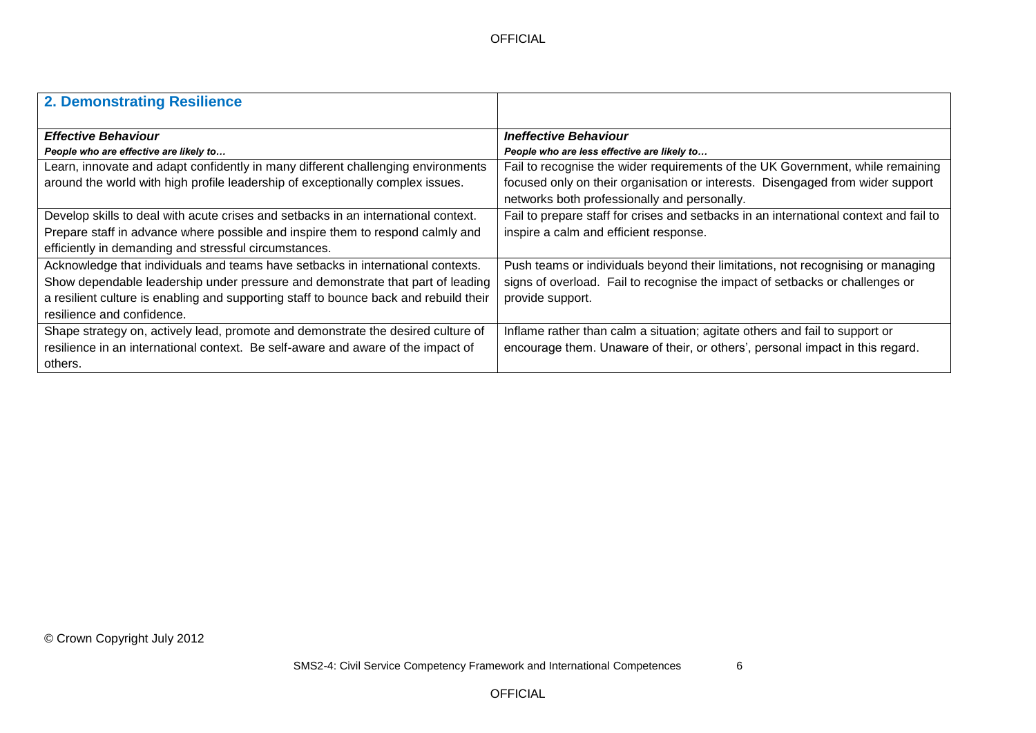| 2. Demonstrating Resilience                                                           |                                                                                       |
|---------------------------------------------------------------------------------------|---------------------------------------------------------------------------------------|
| <b>Effective Behaviour</b>                                                            | <b>Ineffective Behaviour</b>                                                          |
| People who are effective are likely to                                                | People who are less effective are likely to                                           |
| Learn, innovate and adapt confidently in many different challenging environments      | Fail to recognise the wider requirements of the UK Government, while remaining        |
| around the world with high profile leadership of exceptionally complex issues.        | focused only on their organisation or interests. Disengaged from wider support        |
|                                                                                       | networks both professionally and personally.                                          |
| Develop skills to deal with acute crises and setbacks in an international context.    | Fail to prepare staff for crises and setbacks in an international context and fail to |
| Prepare staff in advance where possible and inspire them to respond calmly and        | inspire a calm and efficient response.                                                |
| efficiently in demanding and stressful circumstances.                                 |                                                                                       |
| Acknowledge that individuals and teams have setbacks in international contexts.       | Push teams or individuals beyond their limitations, not recognising or managing       |
| Show dependable leadership under pressure and demonstrate that part of leading        | signs of overload. Fail to recognise the impact of setbacks or challenges or          |
| a resilient culture is enabling and supporting staff to bounce back and rebuild their | provide support.                                                                      |
| resilience and confidence.                                                            |                                                                                       |
| Shape strategy on, actively lead, promote and demonstrate the desired culture of      | Inflame rather than calm a situation; agitate others and fail to support or           |
| resilience in an international context. Be self-aware and aware of the impact of      | encourage them. Unaware of their, or others', personal impact in this regard.         |
| others.                                                                               |                                                                                       |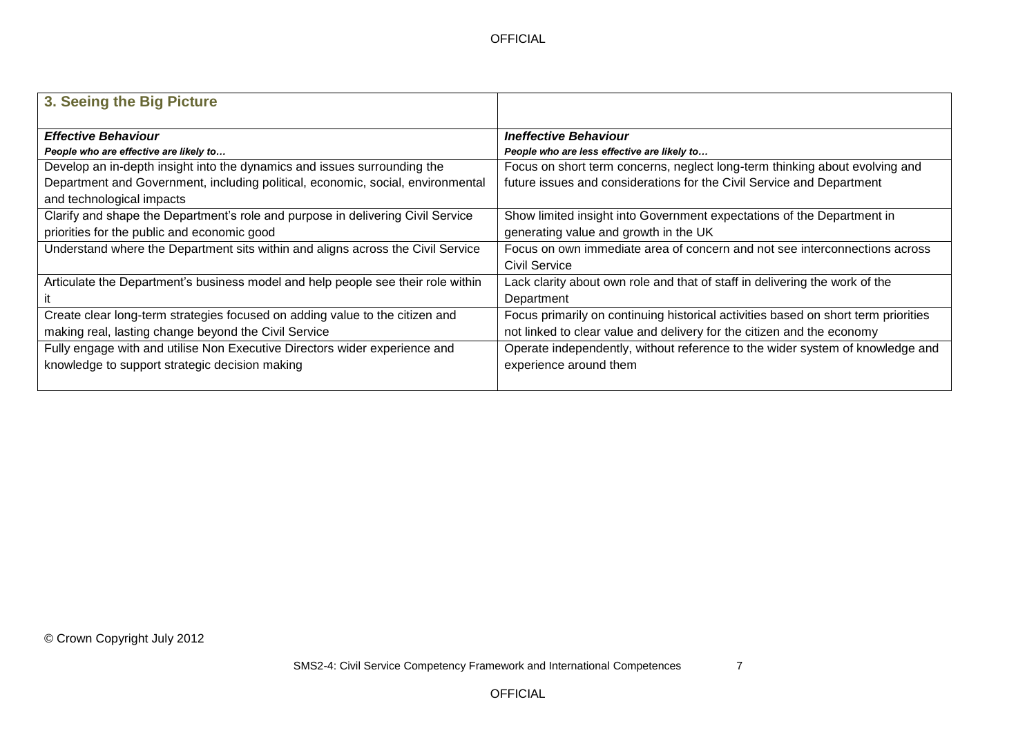| 3. Seeing the Big Picture                                                        |                                                                                    |
|----------------------------------------------------------------------------------|------------------------------------------------------------------------------------|
| <b>Effective Behaviour</b>                                                       | <b>Ineffective Behaviour</b>                                                       |
| People who are effective are likely to                                           | People who are less effective are likely to                                        |
| Develop an in-depth insight into the dynamics and issues surrounding the         | Focus on short term concerns, neglect long-term thinking about evolving and        |
| Department and Government, including political, economic, social, environmental  | future issues and considerations for the Civil Service and Department              |
| and technological impacts                                                        |                                                                                    |
| Clarify and shape the Department's role and purpose in delivering Civil Service  | Show limited insight into Government expectations of the Department in             |
| priorities for the public and economic good                                      | generating value and growth in the UK                                              |
| Understand where the Department sits within and aligns across the Civil Service  | Focus on own immediate area of concern and not see interconnections across         |
|                                                                                  | Civil Service                                                                      |
| Articulate the Department's business model and help people see their role within | Lack clarity about own role and that of staff in delivering the work of the        |
|                                                                                  | Department                                                                         |
| Create clear long-term strategies focused on adding value to the citizen and     | Focus primarily on continuing historical activities based on short term priorities |
| making real, lasting change beyond the Civil Service                             | not linked to clear value and delivery for the citizen and the economy             |
| Fully engage with and utilise Non Executive Directors wider experience and       | Operate independently, without reference to the wider system of knowledge and      |
| knowledge to support strategic decision making                                   | experience around them                                                             |
|                                                                                  |                                                                                    |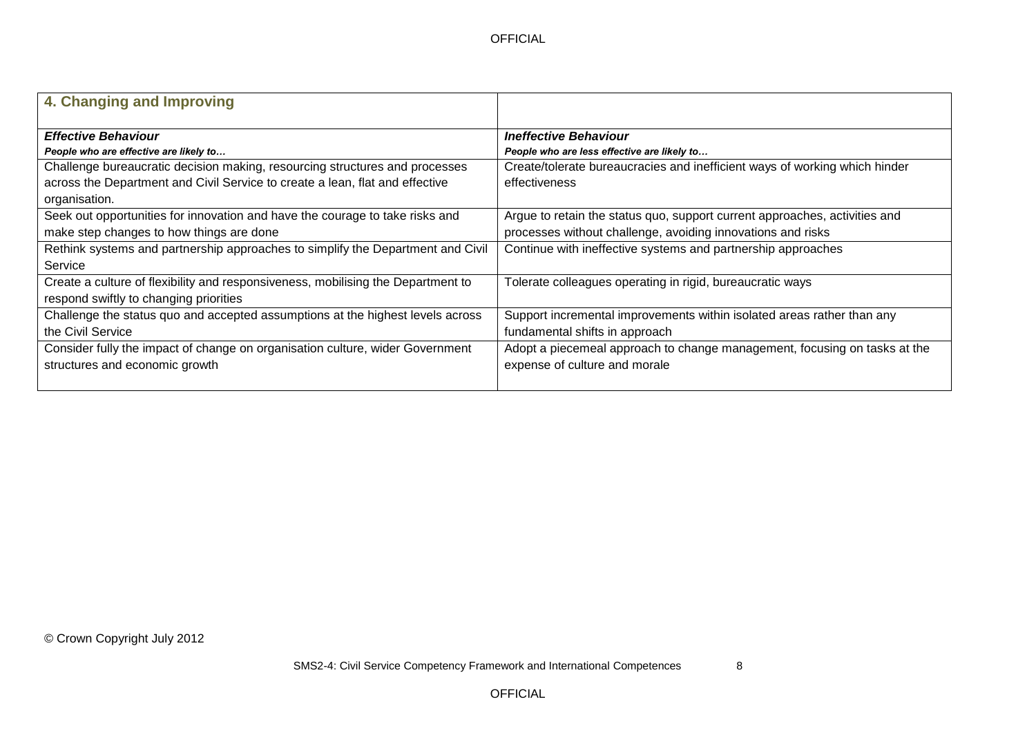| 4. Changing and Improving                                                        |                                                                            |
|----------------------------------------------------------------------------------|----------------------------------------------------------------------------|
| <b>Effective Behaviour</b>                                                       | <b>Ineffective Behaviour</b>                                               |
| People who are effective are likely to                                           | People who are less effective are likely to                                |
| Challenge bureaucratic decision making, resourcing structures and processes      | Create/tolerate bureaucracies and inefficient ways of working which hinder |
| across the Department and Civil Service to create a lean, flat and effective     | effectiveness                                                              |
| organisation.                                                                    |                                                                            |
| Seek out opportunities for innovation and have the courage to take risks and     | Argue to retain the status quo, support current approaches, activities and |
| make step changes to how things are done                                         | processes without challenge, avoiding innovations and risks                |
| Rethink systems and partnership approaches to simplify the Department and Civil  | Continue with ineffective systems and partnership approaches               |
| Service                                                                          |                                                                            |
| Create a culture of flexibility and responsiveness, mobilising the Department to | Tolerate colleagues operating in rigid, bureaucratic ways                  |
| respond swiftly to changing priorities                                           |                                                                            |
| Challenge the status quo and accepted assumptions at the highest levels across   | Support incremental improvements within isolated areas rather than any     |
| the Civil Service                                                                | fundamental shifts in approach                                             |
| Consider fully the impact of change on organisation culture, wider Government    | Adopt a piecemeal approach to change management, focusing on tasks at the  |
| structures and economic growth                                                   | expense of culture and morale                                              |
|                                                                                  |                                                                            |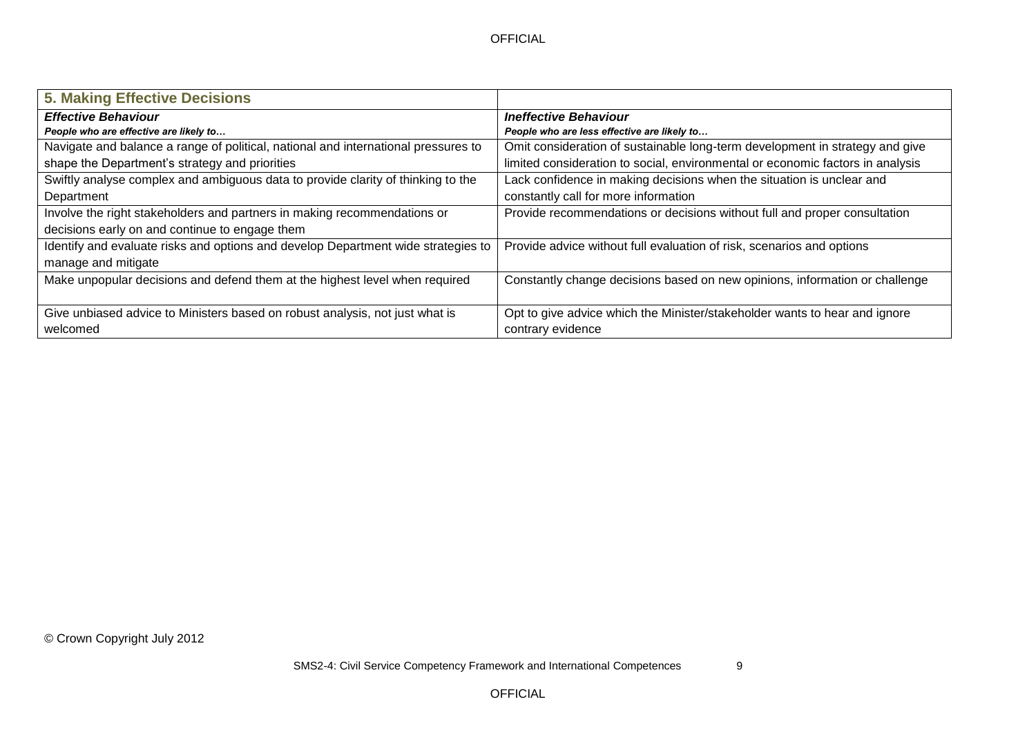| <b>5. Making Effective Decisions</b>                                               |                                                                                |
|------------------------------------------------------------------------------------|--------------------------------------------------------------------------------|
| <b>Effective Behaviour</b>                                                         | <b>Ineffective Behaviour</b>                                                   |
| People who are effective are likely to                                             | People who are less effective are likely to                                    |
| Navigate and balance a range of political, national and international pressures to | Omit consideration of sustainable long-term development in strategy and give   |
| shape the Department's strategy and priorities                                     | limited consideration to social, environmental or economic factors in analysis |
| Swiftly analyse complex and ambiguous data to provide clarity of thinking to the   | Lack confidence in making decisions when the situation is unclear and          |
| Department                                                                         | constantly call for more information                                           |
| Involve the right stakeholders and partners in making recommendations or           | Provide recommendations or decisions without full and proper consultation      |
| decisions early on and continue to engage them                                     |                                                                                |
| Identify and evaluate risks and options and develop Department wide strategies to  | Provide advice without full evaluation of risk, scenarios and options          |
| manage and mitigate                                                                |                                                                                |
| Make unpopular decisions and defend them at the highest level when required        | Constantly change decisions based on new opinions, information or challenge    |
|                                                                                    |                                                                                |
| Give unbiased advice to Ministers based on robust analysis, not just what is       | Opt to give advice which the Minister/stakeholder wants to hear and ignore     |
| welcomed                                                                           | contrary evidence                                                              |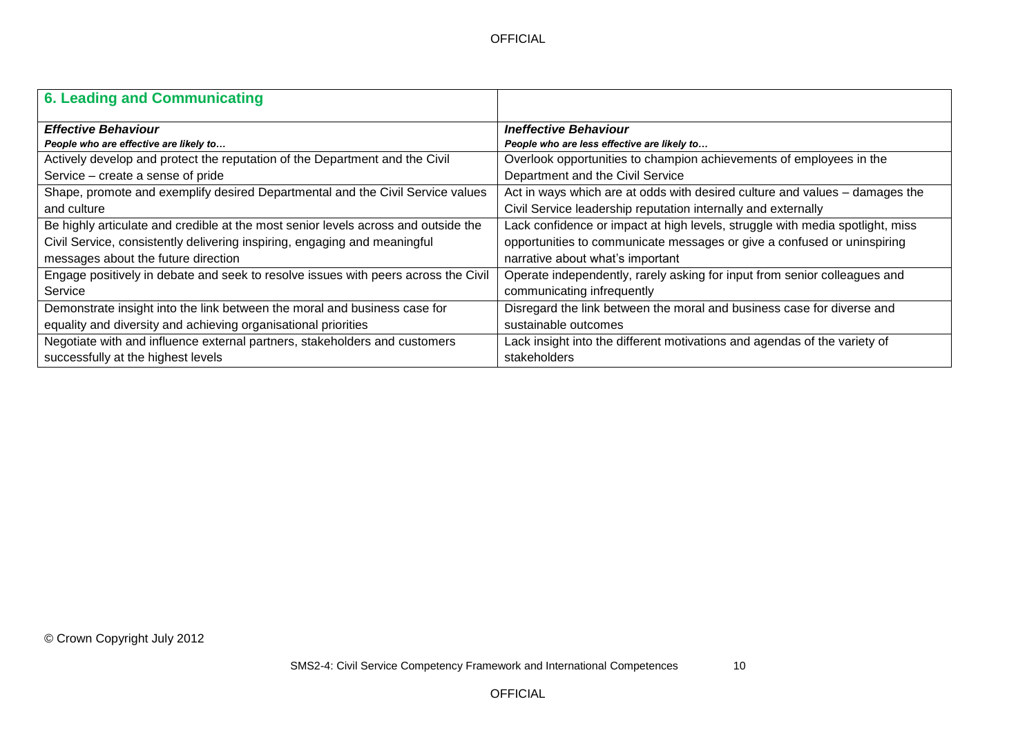| 6. Leading and Communicating                                                       |                                                                               |
|------------------------------------------------------------------------------------|-------------------------------------------------------------------------------|
| <b>Effective Behaviour</b>                                                         | <b>Ineffective Behaviour</b>                                                  |
| People who are effective are likely to                                             | People who are less effective are likely to                                   |
| Actively develop and protect the reputation of the Department and the Civil        | Overlook opportunities to champion achievements of employees in the           |
| Service – create a sense of pride                                                  | Department and the Civil Service                                              |
| Shape, promote and exemplify desired Departmental and the Civil Service values     | Act in ways which are at odds with desired culture and values - damages the   |
| and culture                                                                        | Civil Service leadership reputation internally and externally                 |
| Be highly articulate and credible at the most senior levels across and outside the | Lack confidence or impact at high levels, struggle with media spotlight, miss |
| Civil Service, consistently delivering inspiring, engaging and meaningful          | opportunities to communicate messages or give a confused or uninspiring       |
| messages about the future direction                                                | narrative about what's important                                              |
| Engage positively in debate and seek to resolve issues with peers across the Civil | Operate independently, rarely asking for input from senior colleagues and     |
| Service                                                                            | communicating infrequently                                                    |
| Demonstrate insight into the link between the moral and business case for          | Disregard the link between the moral and business case for diverse and        |
| equality and diversity and achieving organisational priorities                     | sustainable outcomes                                                          |
| Negotiate with and influence external partners, stakeholders and customers         | Lack insight into the different motivations and agendas of the variety of     |
| successfully at the highest levels                                                 | stakeholders                                                                  |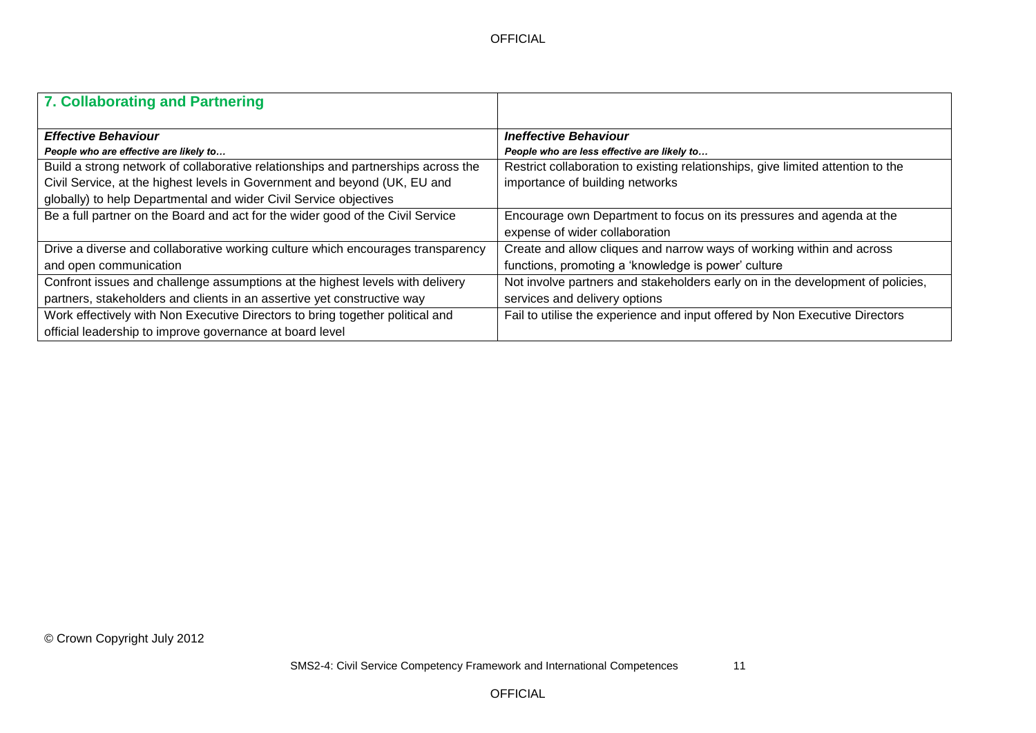| 7. Collaborating and Partnering                                                   |                                                                                 |
|-----------------------------------------------------------------------------------|---------------------------------------------------------------------------------|
| <b>Effective Behaviour</b>                                                        | <b>Ineffective Behaviour</b>                                                    |
| People who are effective are likely to                                            | People who are less effective are likely to                                     |
| Build a strong network of collaborative relationships and partnerships across the | Restrict collaboration to existing relationships, give limited attention to the |
| Civil Service, at the highest levels in Government and beyond (UK, EU and         | importance of building networks                                                 |
| globally) to help Departmental and wider Civil Service objectives                 |                                                                                 |
| Be a full partner on the Board and act for the wider good of the Civil Service    | Encourage own Department to focus on its pressures and agenda at the            |
|                                                                                   | expense of wider collaboration                                                  |
| Drive a diverse and collaborative working culture which encourages transparency   | Create and allow cliques and narrow ways of working within and across           |
| and open communication                                                            | functions, promoting a 'knowledge is power' culture                             |
| Confront issues and challenge assumptions at the highest levels with delivery     | Not involve partners and stakeholders early on in the development of policies,  |
| partners, stakeholders and clients in an assertive yet constructive way           | services and delivery options                                                   |
| Work effectively with Non Executive Directors to bring together political and     | Fail to utilise the experience and input offered by Non Executive Directors     |
| official leadership to improve governance at board level                          |                                                                                 |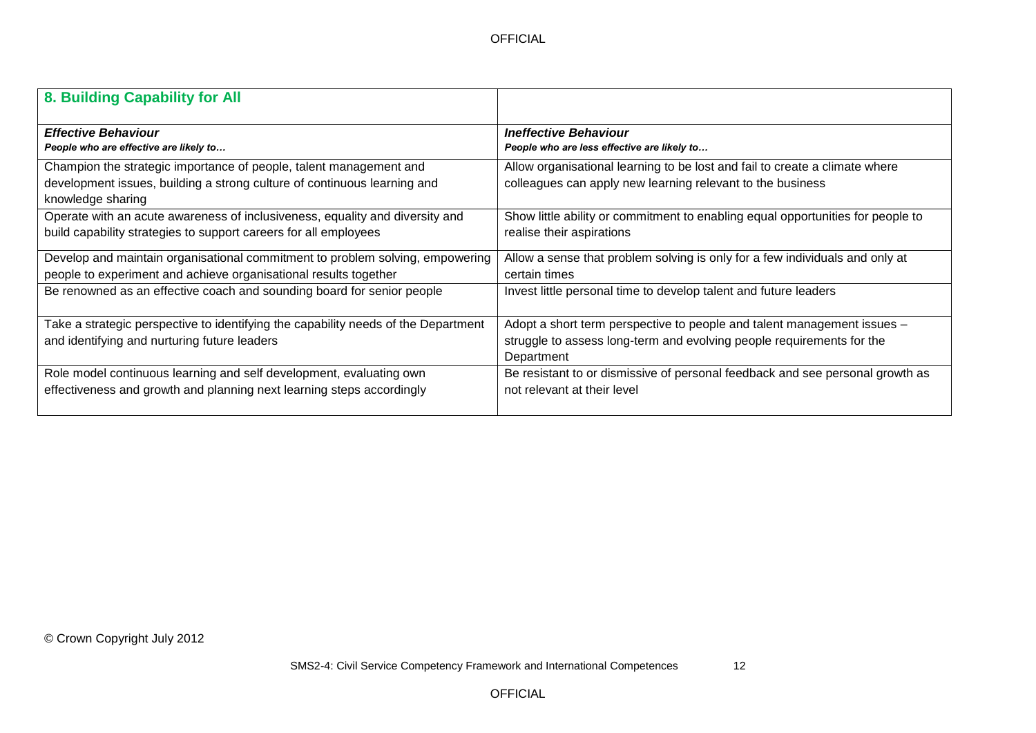| 8. Building Capability for All                                                                                                                                      |                                                                                                                                                                |
|---------------------------------------------------------------------------------------------------------------------------------------------------------------------|----------------------------------------------------------------------------------------------------------------------------------------------------------------|
| <b>Effective Behaviour</b>                                                                                                                                          | <b>Ineffective Behaviour</b>                                                                                                                                   |
| People who are effective are likely to                                                                                                                              | People who are less effective are likely to                                                                                                                    |
| Champion the strategic importance of people, talent management and<br>development issues, building a strong culture of continuous learning and<br>knowledge sharing | Allow organisational learning to be lost and fail to create a climate where<br>colleagues can apply new learning relevant to the business                      |
| Operate with an acute awareness of inclusiveness, equality and diversity and                                                                                        | Show little ability or commitment to enabling equal opportunities for people to                                                                                |
| build capability strategies to support careers for all employees                                                                                                    | realise their aspirations                                                                                                                                      |
| Develop and maintain organisational commitment to problem solving, empowering                                                                                       | Allow a sense that problem solving is only for a few individuals and only at                                                                                   |
| people to experiment and achieve organisational results together                                                                                                    | certain times                                                                                                                                                  |
| Be renowned as an effective coach and sounding board for senior people                                                                                              | Invest little personal time to develop talent and future leaders                                                                                               |
| Take a strategic perspective to identifying the capability needs of the Department<br>and identifying and nurturing future leaders                                  | Adopt a short term perspective to people and talent management issues -<br>struggle to assess long-term and evolving people requirements for the<br>Department |
| Role model continuous learning and self development, evaluating own                                                                                                 | Be resistant to or dismissive of personal feedback and see personal growth as                                                                                  |
| effectiveness and growth and planning next learning steps accordingly                                                                                               | not relevant at their level                                                                                                                                    |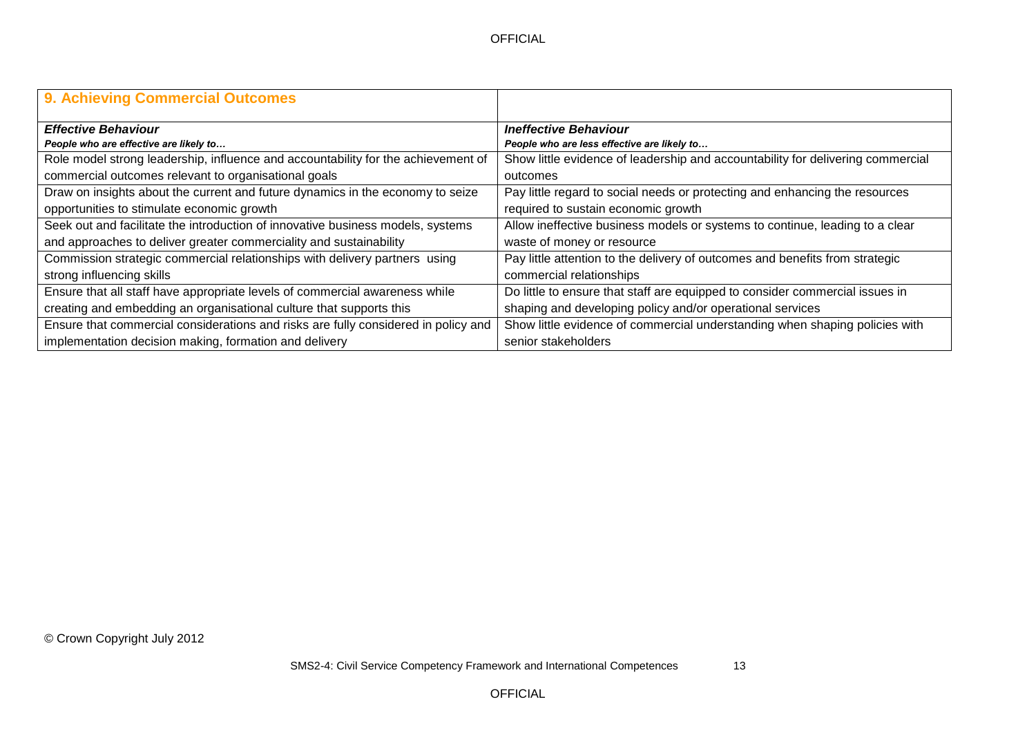| 9. Achieving Commercial Outcomes                                                   |                                                                                 |
|------------------------------------------------------------------------------------|---------------------------------------------------------------------------------|
| <b>Effective Behaviour</b>                                                         | <b>Ineffective Behaviour</b>                                                    |
| People who are effective are likely to                                             | People who are less effective are likely to                                     |
| Role model strong leadership, influence and accountability for the achievement of  | Show little evidence of leadership and accountability for delivering commercial |
| commercial outcomes relevant to organisational goals                               | outcomes                                                                        |
| Draw on insights about the current and future dynamics in the economy to seize     | Pay little regard to social needs or protecting and enhancing the resources     |
| opportunities to stimulate economic growth                                         | required to sustain economic growth                                             |
| Seek out and facilitate the introduction of innovative business models, systems    | Allow ineffective business models or systems to continue, leading to a clear    |
| and approaches to deliver greater commerciality and sustainability                 | waste of money or resource                                                      |
| Commission strategic commercial relationships with delivery partners using         | Pay little attention to the delivery of outcomes and benefits from strategic    |
| strong influencing skills                                                          | commercial relationships                                                        |
| Ensure that all staff have appropriate levels of commercial awareness while        | Do little to ensure that staff are equipped to consider commercial issues in    |
| creating and embedding an organisational culture that supports this                | shaping and developing policy and/or operational services                       |
| Ensure that commercial considerations and risks are fully considered in policy and | Show little evidence of commercial understanding when shaping policies with     |
| implementation decision making, formation and delivery                             | senior stakeholders                                                             |

OFFICIAL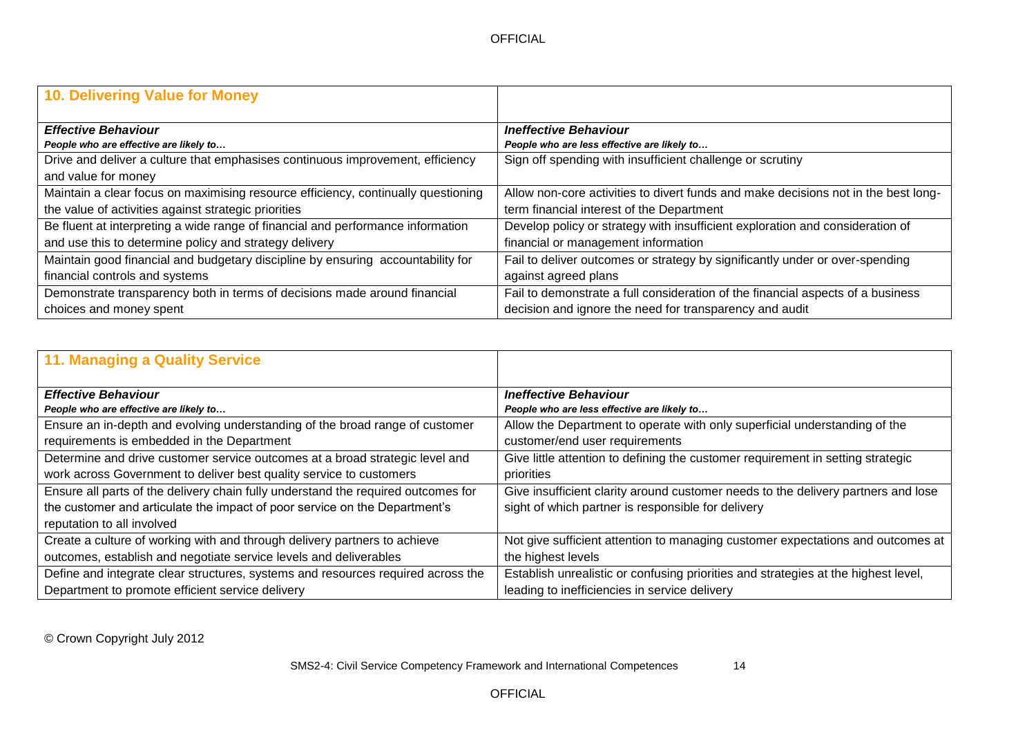| 10. Delivering Value for Money                                                    |                                                                                    |
|-----------------------------------------------------------------------------------|------------------------------------------------------------------------------------|
| <b>Effective Behaviour</b>                                                        | <b>Ineffective Behaviour</b>                                                       |
| People who are effective are likely to                                            | People who are less effective are likely to                                        |
| Drive and deliver a culture that emphasises continuous improvement, efficiency    | Sign off spending with insufficient challenge or scrutiny                          |
| and value for money                                                               |                                                                                    |
| Maintain a clear focus on maximising resource efficiency, continually questioning | Allow non-core activities to divert funds and make decisions not in the best long- |
| the value of activities against strategic priorities                              | term financial interest of the Department                                          |
| Be fluent at interpreting a wide range of financial and performance information   | Develop policy or strategy with insufficient exploration and consideration of      |
| and use this to determine policy and strategy delivery                            | financial or management information                                                |
| Maintain good financial and budgetary discipline by ensuring accountability for   | Fail to deliver outcomes or strategy by significantly under or over-spending       |
| financial controls and systems                                                    | against agreed plans                                                               |
| Demonstrate transparency both in terms of decisions made around financial         | Fail to demonstrate a full consideration of the financial aspects of a business    |
| choices and money spent                                                           | decision and ignore the need for transparency and audit                            |

| <b>11. Managing a Quality Service</b>                                             |                                                                                    |
|-----------------------------------------------------------------------------------|------------------------------------------------------------------------------------|
| <b>Effective Behaviour</b>                                                        | <b>Ineffective Behaviour</b>                                                       |
| People who are effective are likely to                                            | People who are less effective are likely to                                        |
| Ensure an in-depth and evolving understanding of the broad range of customer      | Allow the Department to operate with only superficial understanding of the         |
| requirements is embedded in the Department                                        | customer/end user requirements                                                     |
| Determine and drive customer service outcomes at a broad strategic level and      | Give little attention to defining the customer requirement in setting strategic    |
| work across Government to deliver best quality service to customers               | priorities                                                                         |
| Ensure all parts of the delivery chain fully understand the required outcomes for | Give insufficient clarity around customer needs to the delivery partners and lose  |
| the customer and articulate the impact of poor service on the Department's        | sight of which partner is responsible for delivery                                 |
| reputation to all involved                                                        |                                                                                    |
| Create a culture of working with and through delivery partners to achieve         | Not give sufficient attention to managing customer expectations and outcomes at    |
| outcomes, establish and negotiate service levels and deliverables                 | the highest levels                                                                 |
| Define and integrate clear structures, systems and resources required across the  | Establish unrealistic or confusing priorities and strategies at the highest level, |
| Department to promote efficient service delivery                                  | leading to inefficiencies in service delivery                                      |